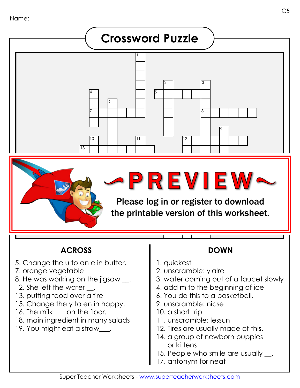

### **ACROSS DOWN**

- 5. Change the u to an e in butter.
- 7. orange vegetable
- 8. He was working on the jigsaw.
- 12. She left the water \_\_.
- 13. putting food over a fire
- 15. Change the y to en in happy.
- 16. The milk <u>orien on the floor</u>.
- 18. main ingredient in many salads
- 19. You might eat a straw\_\_\_.

- 1. quickest
- 2. unscramble: ylalre
- 3. water coming out of a faucet slowly
- 4. add m to the beginning of ice
- 6. You do this to a basketball.
- 9. unscramble: nicse
- 10. a short trip
- 11. unscramble: lessun
- 12. Tires are usually made of this.
- 14. a group of newborn puppies or kittens
- 15. People who smile are usually \_\_.
- 17. antonym for neat

C5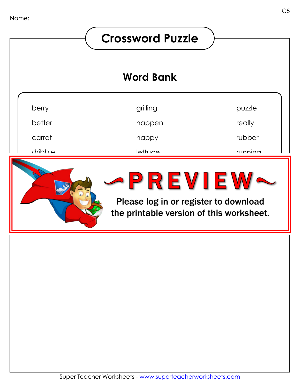#### **Crossword Puzzle Word Bank**berry grilling puzzle better really happen happy rubber carrot drihhle  $l$ ettuce  $r<sub>l</sub>$  inning dripping errand <sup>s</sup> R P V I P W 1 fastest un la citur a vive cinta vita plannular the printable version of this worksheet.